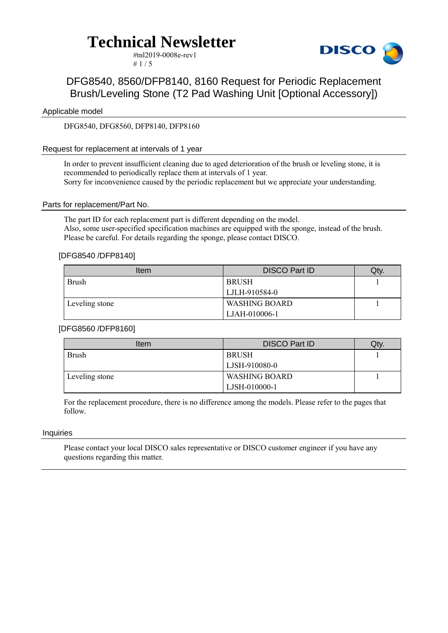#tnl2019-0008e-rev1  $# 1 / 5$ 



### DFG8540, 8560/DFP8140, 8160 Request for Periodic Replacement Brush/Leveling Stone (T2 Pad Washing Unit [Optional Accessory])

#### Applicable model

DFG8540, DFG8560, DFP8140, DFP8160

#### Request for replacement at intervals of 1 year

In order to prevent insufficient cleaning due to aged deterioration of the brush or leveling stone, it is recommended to periodically replace them at intervals of 1 year. Sorry for inconvenience caused by the periodic replacement but we appreciate your understanding.

#### Parts for replacement/Part No.

The part ID for each replacement part is different depending on the model. Also, some user-specified specification machines are equipped with the sponge, instead of the brush. Please be careful. For details regarding the sponge, please contact DISCO.

#### [DFG8540 /DFP8140]

| Item           | <b>DISCO Part ID</b> | Qty. |
|----------------|----------------------|------|
| <b>Brush</b>   | BRUSH                |      |
|                | LJLH-910584-0        |      |
| Leveling stone | <b>WASHING BOARD</b> |      |
|                | LJAH-010006-1        |      |

#### [DFG8560 /DFP8160]

| Item           | <b>DISCO Part ID</b> | Qty. |
|----------------|----------------------|------|
| <b>Brush</b>   | <b>BRUSH</b>         |      |
|                | LJSH-910080-0        |      |
| Leveling stone | <b>WASHING BOARD</b> |      |
|                | LJSH-010000-1        |      |

For the replacement procedure, there is no difference among the models. Please refer to the pages that follow.

#### **Inquiries**

Please contact your local DISCO sales representative or DISCO customer engineer if you have any questions regarding this matter.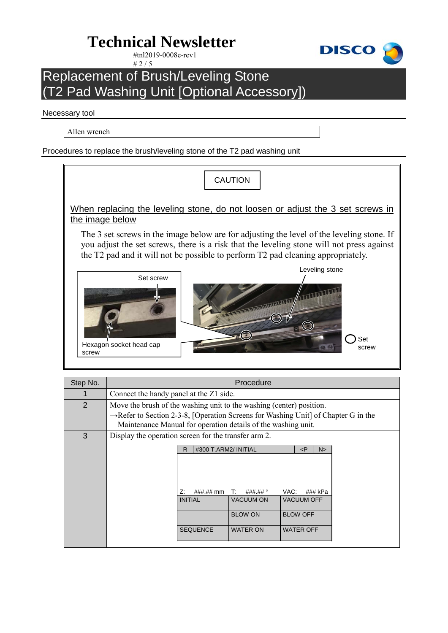#tnl2019-0008e-rev1  $# 2 / 5$ 



### Replacement of Brush/Leveling Stone (T2 Pad Washing Unit [Optional Accessory])

#### Necessary tool

Allen wrench

Procedures to replace the brush/leveling stone of the T2 pad washing unit



| Step No. | Procedure                                                                                                                                                                                                                                                                                 |  |
|----------|-------------------------------------------------------------------------------------------------------------------------------------------------------------------------------------------------------------------------------------------------------------------------------------------|--|
|          | Connect the handy panel at the Z1 side.                                                                                                                                                                                                                                                   |  |
| 2        | Move the brush of the washing unit to the washing (center) position.                                                                                                                                                                                                                      |  |
|          | $\rightarrow$ Refer to Section 2-3-8, [Operation Screens for Washing Unit] of Chapter G in the<br>Maintenance Manual for operation details of the washing unit.                                                                                                                           |  |
| 3        | Display the operation screen for the transfer arm 2.                                                                                                                                                                                                                                      |  |
|          | #300 T.ARM2/ INITIAL<br>$\leq P$<br>R<br>N><br>Z:<br>VAC:<br>$\# \# \# \# \mathsf{mm}$<br>### kPa<br>$\mathbf{T}$ :<br>###.## °<br><b>VACUUM OFF</b><br><b>VACUUM ON</b><br><b>INITIAL</b><br><b>BLOW ON</b><br><b>BLOW OFF</b><br><b>SEQUENCE</b><br><b>WATER ON</b><br><b>WATER OFF</b> |  |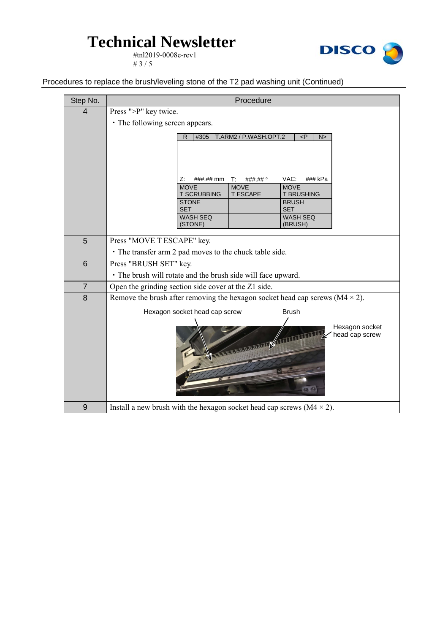#tnl2019-0008e-rev1 #  $3 / 5$ 



Procedures to replace the brush/leveling stone of the T2 pad washing unit (Continued)

| Step No.       | Procedure                                                                                                 |  |  |
|----------------|-----------------------------------------------------------------------------------------------------------|--|--|
| $\overline{4}$ | Press ">P" key twice.                                                                                     |  |  |
|                | • The following screen appears.                                                                           |  |  |
|                | #305<br>T.ARM2 / P.WASH.OPT.2<br>P<br>N>                                                                  |  |  |
|                |                                                                                                           |  |  |
|                |                                                                                                           |  |  |
|                |                                                                                                           |  |  |
|                | VAC:<br>###.## mm<br>### kPa<br>Z:<br>T:<br>$\# \# \# \# \#$<br><b>MOVE</b><br><b>MOVE</b><br><b>MOVE</b> |  |  |
|                | <b>T SCRUBBING</b><br>T ESCAPE<br><b>T BRUSHING</b>                                                       |  |  |
|                | <b>STONE</b><br><b>BRUSH</b><br><b>SET</b><br><b>SET</b>                                                  |  |  |
|                | <b>WASH SEQ</b><br>WASH SEQ                                                                               |  |  |
|                | (STONE)<br>(BRUSH)                                                                                        |  |  |
| 5              | Press "MOVE T ESCAPE" key.                                                                                |  |  |
|                | • The transfer arm 2 pad moves to the chuck table side.                                                   |  |  |
| 6              | Press "BRUSH SET" key.                                                                                    |  |  |
|                | • The brush will rotate and the brush side will face upward.                                              |  |  |
| $\overline{7}$ | Open the grinding section side cover at the Z1 side.                                                      |  |  |
| 8              | Remove the brush after removing the hexagon socket head cap screws ( $M4 \times 2$ ).                     |  |  |
|                | Hexagon socket head cap screw<br><b>Brush</b>                                                             |  |  |
|                | Hexagon socket                                                                                            |  |  |
|                | head cap screw<br><b>A MARIADA GALLA A TITULI</b>                                                         |  |  |
|                |                                                                                                           |  |  |
|                |                                                                                                           |  |  |
|                |                                                                                                           |  |  |
|                |                                                                                                           |  |  |
|                |                                                                                                           |  |  |
| 9              | Install a new brush with the hexagon socket head cap screws ( $M4 \times 2$ ).                            |  |  |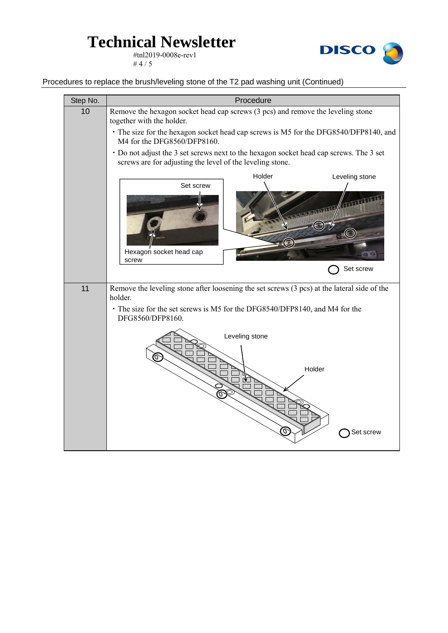#tnl2019-0008e-rev1 # 4  $/ 5$ 



Procedures to replace the brush/leveling stone of the T2 pad washing unit (Continued)

| Step No. | Procedure                                                                                                                                                                                                 |  |
|----------|-----------------------------------------------------------------------------------------------------------------------------------------------------------------------------------------------------------|--|
| 10       | Remove the hexagon socket head cap screws (3 pcs) and remove the leveling stone<br>together with the holder.                                                                                              |  |
|          | · The size for the hexagon socket head cap screws is M5 for the DFG8540/DFP8140, and<br>M4 for the DFG8560/DFP8160.                                                                                       |  |
|          | • Do not adjust the 3 set screws next to the hexagon socket head cap screws. The 3 set<br>screws are for adjusting the level of the leveling stone.                                                       |  |
|          | Holder<br>Leveling stone<br>Set screw<br>The light distributed of the<br><b>C</b><br>Hexagon socket head cap                                                                                              |  |
|          | screw<br>Set screw                                                                                                                                                                                        |  |
| 11       | Remove the leveling stone after loosening the set screws (3 pcs) at the lateral side of the<br>holder.<br>• The size for the set screws is M5 for the DFG8540/DFP8140, and M4 for the<br>DFG8560/DFP8160. |  |
|          | Leveling stone<br>Holder<br>Set screw                                                                                                                                                                     |  |